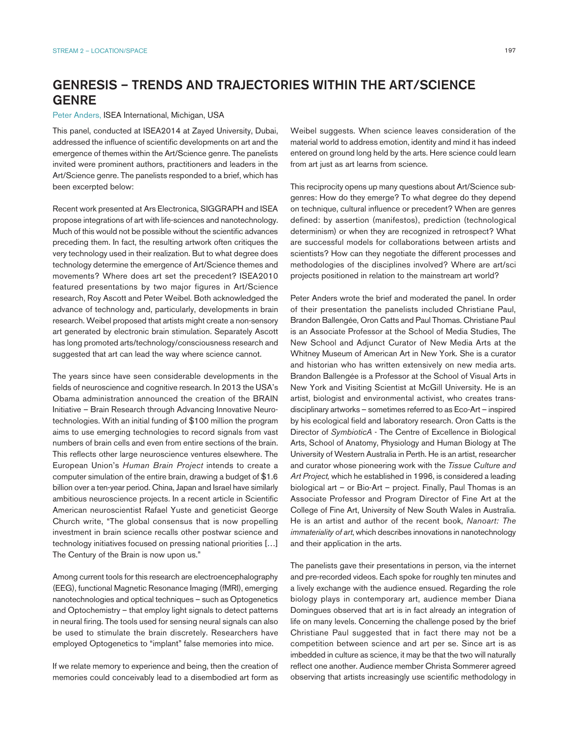# GENRESIS – TRENDS AND TRAJECTORIES WITHIN THE ART/SCIENCE GENRE

#### Peter Anders, ISEA International, Michigan, USA

This panel, conducted at ISEA2014 at Zayed University, Dubai, addressed the influence of scientific developments on art and the emergence of themes within the Art/Science genre. The panelists invited were prominent authors, practitioners and leaders in the Art/Science genre. The panelists responded to a brief, which has been excerpted below:

Recent work presented at Ars Electronica, SIGGRAPH and ISEA propose integrations of art with life-sciences and nanotechnology. Much of this would not be possible without the scientific advances preceding them. In fact, the resulting artwork often critiques the very technology used in their realization. But to what degree does technology determine the emergence of Art/Science themes and movements? Where does art set the precedent? ISEA2010 featured presentations by two major figures in Art/Science research, Roy Ascott and Peter Weibel. Both acknowledged the advance of technology and, particularly, developments in brain research. Weibel proposed that artists might create a non-sensory art generated by electronic brain stimulation. Separately Ascott has long promoted arts/technology/consciousness research and suggested that art can lead the way where science cannot.

The years since have seen considerable developments in the fields of neuroscience and cognitive research. In 2013 the USA's Obama administration announced the creation of the BRAIN Initiative – Brain Research through Advancing Innovative Neurotechnologies. With an initial funding of \$100 million the program aims to use emerging technologies to record signals from vast numbers of brain cells and even from entire sections of the brain. This reflects other large neuroscience ventures elsewhere. The European Union's *Human Brain Project* intends to create a computer simulation of the entire brain, drawing a budget of \$1.6 billion over a ten-year period. China, Japan and Israel have similarly ambitious neuroscience projects. In a recent article in Scientific American neuroscientist Rafael Yuste and geneticist George Church write, "The global consensus that is now propelling investment in brain science recalls other postwar science and technology initiatives focused on pressing national priorities […] The Century of the Brain is now upon us."

Among current tools for this research are electroencephalography (EEG), functional Magnetic Resonance Imaging (fMRI), emerging nanotechnologies and optical techniques – such as Optogenetics and Optochemistry – that employ light signals to detect patterns in neural firing. The tools used for sensing neural signals can also be used to stimulate the brain discretely. Researchers have employed Optogenetics to "implant" false memories into mice.

If we relate memory to experience and being, then the creation of memories could conceivably lead to a disembodied art form as Weibel suggests. When science leaves consideration of the material world to address emotion, identity and mind it has indeed entered on ground long held by the arts. Here science could learn from art just as art learns from science.

This reciprocity opens up many questions about Art/Science subgenres: How do they emerge? To what degree do they depend on technique, cultural influence or precedent? When are genres defined: by assertion (manifestos), prediction (technological determinism) or when they are recognized in retrospect? What are successful models for collaborations between artists and scientists? How can they negotiate the different processes and methodologies of the disciplines involved? Where are art/sci projects positioned in relation to the mainstream art world?

Peter Anders wrote the brief and moderated the panel. In order of their presentation the panelists included Christiane Paul, Brandon Ballengée, Oron Catts and Paul Thomas. Christiane Paul is an Associate Professor at the School of Media Studies, The New School and Adjunct Curator of New Media Arts at the Whitney Museum of American Art in New York. She is a curator and historian who has written extensively on new media arts. Brandon Ballengée is a Professor at the School of Visual Arts in New York and Visiting Scientist at McGill University. He is an artist, biologist and environmental activist, who creates transdisciplinary artworks – sometimes referred to as Eco-Art – inspired by his ecological field and laboratory research. Oron Catts is the Director of *SymbioticA* - The Centre of Excellence in Biological Arts, School of Anatomy, Physiology and Human Biology at The University of Western Australia in Perth. He is an artist, researcher and curator whose pioneering work with the *Tissue Culture and Art Project,* which he established in 1996, is considered a leading biological art – or Bio-Art – project. Finally, Paul Thomas is an Associate Professor and Program Director of Fine Art at the College of Fine Art, University of New South Wales in Australia. He is an artist and author of the recent book, *Nanoart: The immateriality of art*, which describes innovations in nanotechnology and their application in the arts.

The panelists gave their presentations in person, via the internet and pre-recorded videos. Each spoke for roughly ten minutes and a lively exchange with the audience ensued. Regarding the role biology plays in contemporary art, audience member Diana Domingues observed that art is in fact already an integration of life on many levels. Concerning the challenge posed by the brief Christiane Paul suggested that in fact there may not be a competition between science and art per se. Since art is as imbedded in culture as science, it may be that the two will naturally reflect one another. Audience member Christa Sommerer agreed observing that artists increasingly use scientific methodology in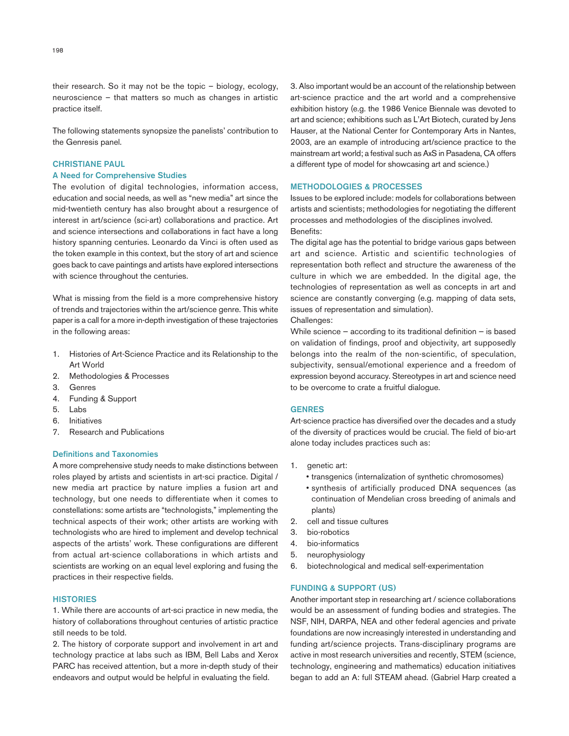their research. So it may not be the topic – biology, ecology, neuroscience – that matters so much as changes in artistic practice itself.

The following statements synopsize the panelists' contribution to the Genresis panel.

### CHRISTIANE PAUL

# A Need for Comprehensive Studies

The evolution of digital technologies, information access, education and social needs, as well as "new media" art since the mid-twentieth century has also brought about a resurgence of interest in art/science (sci-art) collaborations and practice. Art and science intersections and collaborations in fact have a long history spanning centuries. Leonardo da Vinci is often used as the token example in this context, but the story of art and science goes back to cave paintings and artists have explored intersections with science throughout the centuries.

What is missing from the field is a more comprehensive history of trends and trajectories within the art/science genre. This white paper is a call for a more in-depth investigation of these trajectories in the following areas:

- 1. Histories of Art-Science Practice and its Relationship to the Art World
- 2. Methodologies & Processes
- 3. Genres
- 4. Funding & Support
- 5. Labs
- 6. Initiatives
- 7. Research and Publications

# Definitions and Taxonomies

A more comprehensive study needs to make distinctions between roles played by artists and scientists in art-sci practice. Digital / new media art practice by nature implies a fusion art and technology, but one needs to differentiate when it comes to constellations: some artists are "technologists," implementing the technical aspects of their work; other artists are working with technologists who are hired to implement and develop technical aspects of the artists' work. These configurations are different from actual art-science collaborations in which artists and scientists are working on an equal level exploring and fusing the practices in their respective fields.

# **HISTORIES**

1. While there are accounts of art-sci practice in new media, the history of collaborations throughout centuries of artistic practice still needs to be told.

2. The history of corporate support and involvement in art and technology practice at labs such as IBM, Bell Labs and Xerox PARC has received attention, but a more in-depth study of their endeavors and output would be helpful in evaluating the field.

3. Also important would be an account of the relationship between art-science practice and the art world and a comprehensive exhibition history (e.g. the 1986 Venice Biennale was devoted to art and science; exhibitions such as L'Art Biotech, curated by Jens Hauser, at the National Center for Contemporary Arts in Nantes, 2003, are an example of introducing art/science practice to the mainstream art world; a festival such as AxS in Pasadena, CA offers a different type of model for showcasing art and science.)

### METHODOLOGIES & PROCESSES

Issues to be explored include: models for collaborations between artists and scientists; methodologies for negotiating the different processes and methodologies of the disciplines involved. Benefits:

The digital age has the potential to bridge various gaps between art and science. Artistic and scientific technologies of representation both reflect and structure the awareness of the culture in which we are embedded. In the digital age, the technologies of representation as well as concepts in art and science are constantly converging (e.g. mapping of data sets, issues of representation and simulation).

# Challenges:

While science — according to its traditional definition — is based on validation of findings, proof and objectivity, art supposedly belongs into the realm of the non-scientific, of speculation, subjectivity, sensual/emotional experience and a freedom of expression beyond accuracy. Stereotypes in art and science need to be overcome to crate a fruitful dialogue.

# **GENRES**

Art-science practice has diversified over the decades and a study of the diversity of practices would be crucial. The field of bio-art alone today includes practices such as:

- 1. genetic art:
	- transgenics (internalization of synthetic chromosomes)
	- synthesis of artificially produced DNA sequences (as continuation of Mendelian cross breeding of animals and plants)
- 2. cell and tissue cultures
- 3. bio-robotics
- 4. bio-informatics
- 5. neurophysiology
- 6. biotechnological and medical self-experimentation

# FUNDING & SUPPORT (US)

Another important step in researching art / science collaborations would be an assessment of funding bodies and strategies. The NSF, NIH, DARPA, NEA and other federal agencies and private foundations are now increasingly interested in understanding and funding art/science projects. Trans-disciplinary programs are active in most research universities and recently, STEM (science, technology, engineering and mathematics) education initiatives began to add an A: full STEAM ahead. (Gabriel Harp created a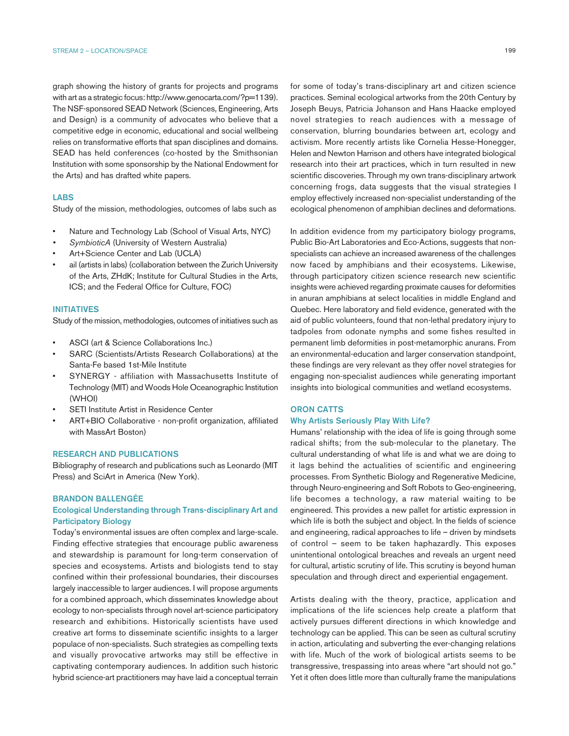graph showing the history of grants for projects and programs with art as a strategic focus: http://www.genocarta.com/?p=1139). The NSF-sponsored SEAD Network (Sciences, Engineering, Arts and Design) is a community of advocates who believe that a competitive edge in economic, educational and social wellbeing relies on transformative efforts that span disciplines and domains. SEAD has held conferences (co-hosted by the Smithsonian Institution with some sponsorship by the National Endowment for the Arts) and has drafted white papers.

# LABS

Study of the mission, methodologies, outcomes of labs such as

- Nature and Technology Lab (School of Visual Arts, NYC)
- *• SymbioticA* (University of Western Australia)
- Art+Science Center and Lab (UCLA)
- ail (artists in labs) (collaboration between the Zurich University of the Arts, ZHdK; Institute for Cultural Studies in the Arts, ICS; and the Federal Office for Culture, FOC)

### INITIATIVES

Study of the mission, methodologies, outcomes of initiatives such as

- ASCI (art & Science Collaborations Inc.)
- SARC (Scientists/Artists Research Collaborations) at the Santa-Fe based 1st-Mile Institute
- SYNERGY affiliation with Massachusetts Institute of Technology (MIT) and Woods Hole Oceanographic Institution (WHOI)
- SETI Institute Artist in Residence Center
- ART+BIO Collaborative non-profit organization, affiliated with MassArt Boston)

# RESEARCH AND PUBLICATIONS

Bibliography of research and publications such as Leonardo (MIT Press) and SciArt in America (New York).

## BRANDON BALLENGÉE

# Ecological Understanding through Trans-disciplinary Art and Participatory Biology

Today's environmental issues are often complex and large-scale. Finding effective strategies that encourage public awareness and stewardship is paramount for long-term conservation of species and ecosystems. Artists and biologists tend to stay confined within their professional boundaries, their discourses largely inaccessible to larger audiences. I will propose arguments for a combined approach, which disseminates knowledge about ecology to non-specialists through novel art-science participatory research and exhibitions. Historically scientists have used creative art forms to disseminate scientific insights to a larger populace of non-specialists. Such strategies as compelling texts and visually provocative artworks may still be effective in captivating contemporary audiences. In addition such historic hybrid science-art practitioners may have laid a conceptual terrain

199

for some of today's trans-disciplinary art and citizen science practices. Seminal ecological artworks from the 20th Century by Joseph Beuys, Patricia Johanson and Hans Haacke employed novel strategies to reach audiences with a message of conservation, blurring boundaries between art, ecology and activism. More recently artists like Cornelia Hesse-Honegger, Helen and Newton Harrison and others have integrated biological research into their art practices, which in turn resulted in new scientific discoveries. Through my own trans-disciplinary artwork concerning frogs, data suggests that the visual strategies I employ effectively increased non-specialist understanding of the ecological phenomenon of amphibian declines and deformations.

In addition evidence from my participatory biology programs, Public Bio-Art Laboratories and Eco-Actions, suggests that nonspecialists can achieve an increased awareness of the challenges now faced by amphibians and their ecosystems. Likewise, through participatory citizen science research new scientific insights were achieved regarding proximate causes for deformities in anuran amphibians at select localities in middle England and Quebec. Here laboratory and field evidence, generated with the aid of public volunteers, found that non-lethal predatory injury to tadpoles from odonate nymphs and some fishes resulted in permanent limb deformities in post-metamorphic anurans. From an environmental-education and larger conservation standpoint, these findings are very relevant as they offer novel strategies for engaging non-specialist audiences while generating important insights into biological communities and wetland ecosystems.

# ORON CATTS

# Why Artists Seriously Play With Life?

Humans' relationship with the idea of life is going through some radical shifts; from the sub-molecular to the planetary. The cultural understanding of what life is and what we are doing to it lags behind the actualities of scientific and engineering processes. From Synthetic Biology and Regenerative Medicine, through Neuro-engineering and Soft Robots to Geo-engineering, life becomes a technology, a raw material waiting to be engineered. This provides a new pallet for artistic expression in which life is both the subject and object. In the fields of science and engineering, radical approaches to life – driven by mindsets of control – seem to be taken haphazardly. This exposes unintentional ontological breaches and reveals an urgent need for cultural, artistic scrutiny of life. This scrutiny is beyond human speculation and through direct and experiential engagement.

Artists dealing with the theory, practice, application and implications of the life sciences help create a platform that actively pursues different directions in which knowledge and technology can be applied. This can be seen as cultural scrutiny in action, articulating and subverting the ever-changing relations with life. Much of the work of biological artists seems to be transgressive, trespassing into areas where "art should not go." Yet it often does little more than culturally frame the manipulations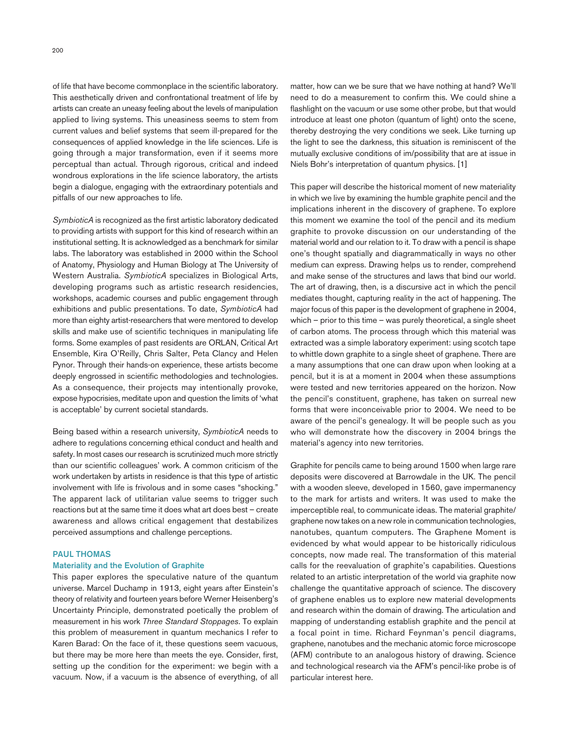of life that have become commonplace in the scientific laboratory. This aesthetically driven and confrontational treatment of life by artists can create an uneasy feeling about the levels of manipulation applied to living systems. This uneasiness seems to stem from current values and belief systems that seem ill-prepared for the consequences of applied knowledge in the life sciences. Life is going through a major transformation, even if it seems more perceptual than actual. Through rigorous, critical and indeed wondrous explorations in the life science laboratory, the artists begin a dialogue, engaging with the extraordinary potentials and pitfalls of our new approaches to life.

*SymbioticA* is recognized as the first artistic laboratory dedicated to providing artists with support for this kind of research within an institutional setting. It is acknowledged as a benchmark for similar labs. The laboratory was established in 2000 within the School of Anatomy, Physiology and Human Biology at The University of Western Australia. *SymbioticA* specializes in Biological Arts, developing programs such as artistic research residencies, workshops, academic courses and public engagement through exhibitions and public presentations. To date, *SymbioticA* had more than eighty artist-researchers that were mentored to develop skills and make use of scientific techniques in manipulating life forms. Some examples of past residents are ORLAN, Critical Art Ensemble, Kira O'Reilly, Chris Salter, Peta Clancy and Helen Pynor. Through their hands-on experience, these artists become deeply engrossed in scientific methodologies and technologies. As a consequence, their projects may intentionally provoke, expose hypocrisies, meditate upon and question the limits of 'what is acceptable' by current societal standards.

Being based within a research university, *SymbioticA* needs to adhere to regulations concerning ethical conduct and health and safety. In most cases our research is scrutinized much more strictly than our scientific colleagues' work. A common criticism of the work undertaken by artists in residence is that this type of artistic involvement with life is frivolous and in some cases "shocking." The apparent lack of utilitarian value seems to trigger such reactions but at the same time it does what art does best – create awareness and allows critical engagement that destabilizes perceived assumptions and challenge perceptions.

# PAUL THOMAS

## Materiality and the Evolution of Graphite

This paper explores the speculative nature of the quantum universe. Marcel Duchamp in 1913, eight years after Einstein's theory of relativity and fourteen years before Werner Heisenberg's Uncertainty Principle, demonstrated poetically the problem of measurement in his work *Three Standard Stoppages*. To explain this problem of measurement in quantum mechanics I refer to Karen Barad: On the face of it, these questions seem vacuous, but there may be more here than meets the eye. Consider, first, setting up the condition for the experiment: we begin with a vacuum. Now, if a vacuum is the absence of everything, of all matter, how can we be sure that we have nothing at hand? We'll need to do a measurement to confirm this. We could shine a flashlight on the vacuum or use some other probe, but that would introduce at least one photon (quantum of light) onto the scene, thereby destroying the very conditions we seek. Like turning up the light to see the darkness, this situation is reminiscent of the mutually exclusive conditions of im/possibility that are at issue in Niels Bohr's interpretation of quantum physics. [1]

This paper will describe the historical moment of new materiality in which we live by examining the humble graphite pencil and the implications inherent in the discovery of graphene. To explore this moment we examine the tool of the pencil and its medium graphite to provoke discussion on our understanding of the material world and our relation to it. To draw with a pencil is shape one's thought spatially and diagrammatically in ways no other medium can express. Drawing helps us to render, comprehend and make sense of the structures and laws that bind our world. The art of drawing, then, is a discursive act in which the pencil mediates thought, capturing reality in the act of happening. The major focus of this paper is the development of graphene in 2004, which – prior to this time – was purely theoretical, a single sheet of carbon atoms. The process through which this material was extracted was a simple laboratory experiment: using scotch tape to whittle down graphite to a single sheet of graphene. There are a many assumptions that one can draw upon when looking at a pencil, but it is at a moment in 2004 when these assumptions were tested and new territories appeared on the horizon. Now the pencil's constituent, graphene, has taken on surreal new forms that were inconceivable prior to 2004. We need to be aware of the pencil's genealogy. It will be people such as you who will demonstrate how the discovery in 2004 brings the material's agency into new territories.

Graphite for pencils came to being around 1500 when large rare deposits were discovered at Barrowdale in the UK. The pencil with a wooden sleeve, developed in 1560, gave impermanency to the mark for artists and writers. It was used to make the imperceptible real, to communicate ideas. The material graphite/ graphene now takes on a new role in communication technologies, nanotubes, quantum computers. The Graphene Moment is evidenced by what would appear to be historically ridiculous concepts, now made real. The transformation of this material calls for the reevaluation of graphite's capabilities. Questions related to an artistic interpretation of the world via graphite now challenge the quantitative approach of science. The discovery of graphene enables us to explore new material developments and research within the domain of drawing. The articulation and mapping of understanding establish graphite and the pencil at a focal point in time. Richard Feynman's pencil diagrams, graphene, nanotubes and the mechanic atomic force microscope (AFM) contribute to an analogous history of drawing. Science and technological research via the AFM's pencil-like probe is of particular interest here.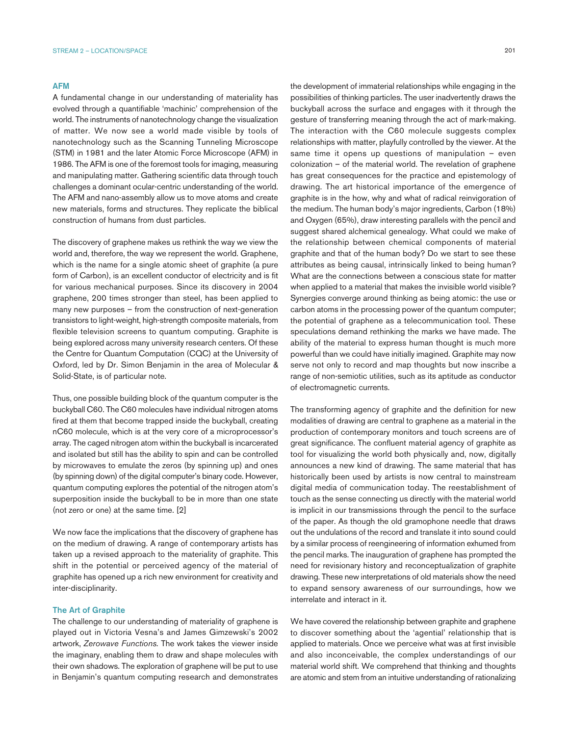#### AFM

A fundamental change in our understanding of materiality has evolved through a quantifiable 'machinic' comprehension of the world. The instruments of nanotechnology change the visualization of matter. We now see a world made visible by tools of nanotechnology such as the Scanning Tunneling Microscope (STM) in 1981 and the later Atomic Force Microscope (AFM) in 1986. The AFM is one of the foremost tools for imaging, measuring and manipulating matter. Gathering scientific data through touch challenges a dominant ocular-centric understanding of the world. The AFM and nano-assembly allow us to move atoms and create new materials, forms and structures. They replicate the biblical construction of humans from dust particles.

The discovery of graphene makes us rethink the way we view the world and, therefore, the way we represent the world. Graphene, which is the name for a single atomic sheet of graphite (a pure form of Carbon), is an excellent conductor of electricity and is fit for various mechanical purposes. Since its discovery in 2004 graphene, 200 times stronger than steel, has been applied to many new purposes – from the construction of next-generation transistors to light-weight, high-strength composite materials, from flexible television screens to quantum computing. Graphite is being explored across many university research centers. Of these the Centre for Quantum Computation (CQC) at the University of Oxford, led by Dr. Simon Benjamin in the area of Molecular & Solid-State, is of particular note.

Thus, one possible building block of the quantum computer is the buckyball C60. The C60 molecules have individual nitrogen atoms fired at them that become trapped inside the buckyball, creating nC60 molecule, which is at the very core of a microprocessor's array. The caged nitrogen atom within the buckyball is incarcerated and isolated but still has the ability to spin and can be controlled by microwaves to emulate the zeros (by spinning up) and ones (by spinning down) of the digital computer's binary code. However, quantum computing explores the potential of the nitrogen atom's superposition inside the buckyball to be in more than one state (not zero or one) at the same time. [2]

We now face the implications that the discovery of graphene has on the medium of drawing. A range of contemporary artists has taken up a revised approach to the materiality of graphite. This shift in the potential or perceived agency of the material of graphite has opened up a rich new environment for creativity and inter-disciplinarity.

#### The Art of Graphite

The challenge to our understanding of materiality of graphene is played out in Victoria Vesna's and James Gimzewski's 2002 artwork, *Zerowave Functions.* The work takes the viewer inside the imaginary, enabling them to draw and shape molecules with their own shadows. The exploration of graphene will be put to use in Benjamin's quantum computing research and demonstrates the development of immaterial relationships while engaging in the possibilities of thinking particles. The user inadvertently draws the buckyball across the surface and engages with it through the gesture of transferring meaning through the act of mark-making. The interaction with the C60 molecule suggests complex relationships with matter, playfully controlled by the viewer. At the same time it opens up questions of manipulation – even colonization – of the material world. The revelation of graphene has great consequences for the practice and epistemology of drawing. The art historical importance of the emergence of graphite is in the how, why and what of radical reinvigoration of the medium. The human body's major ingredients, Carbon (18%) and Oxygen (65%), draw interesting parallels with the pencil and suggest shared alchemical genealogy. What could we make of the relationship between chemical components of material graphite and that of the human body? Do we start to see these attributes as being causal, intrinsically linked to being human? What are the connections between a conscious state for matter when applied to a material that makes the invisible world visible? Synergies converge around thinking as being atomic: the use or carbon atoms in the processing power of the quantum computer; the potential of graphene as a telecommunication tool. These speculations demand rethinking the marks we have made. The ability of the material to express human thought is much more powerful than we could have initially imagined. Graphite may now serve not only to record and map thoughts but now inscribe a range of non-semiotic utilities, such as its aptitude as conductor of electromagnetic currents.

The transforming agency of graphite and the definition for new modalities of drawing are central to graphene as a material in the production of contemporary monitors and touch screens are of great significance. The confluent material agency of graphite as tool for visualizing the world both physically and, now, digitally announces a new kind of drawing. The same material that has historically been used by artists is now central to mainstream digital media of communication today. The reestablishment of touch as the sense connecting us directly with the material world is implicit in our transmissions through the pencil to the surface of the paper. As though the old gramophone needle that draws out the undulations of the record and translate it into sound could by a similar process of reengineering of information exhumed from the pencil marks. The inauguration of graphene has prompted the need for revisionary history and reconceptualization of graphite drawing. These new interpretations of old materials show the need to expand sensory awareness of our surroundings, how we interrelate and interact in it.

We have covered the relationship between graphite and graphene to discover something about the 'agential' relationship that is applied to materials. Once we perceive what was at first invisible and also inconceivable, the complex understandings of our material world shift. We comprehend that thinking and thoughts are atomic and stem from an intuitive understanding of rationalizing